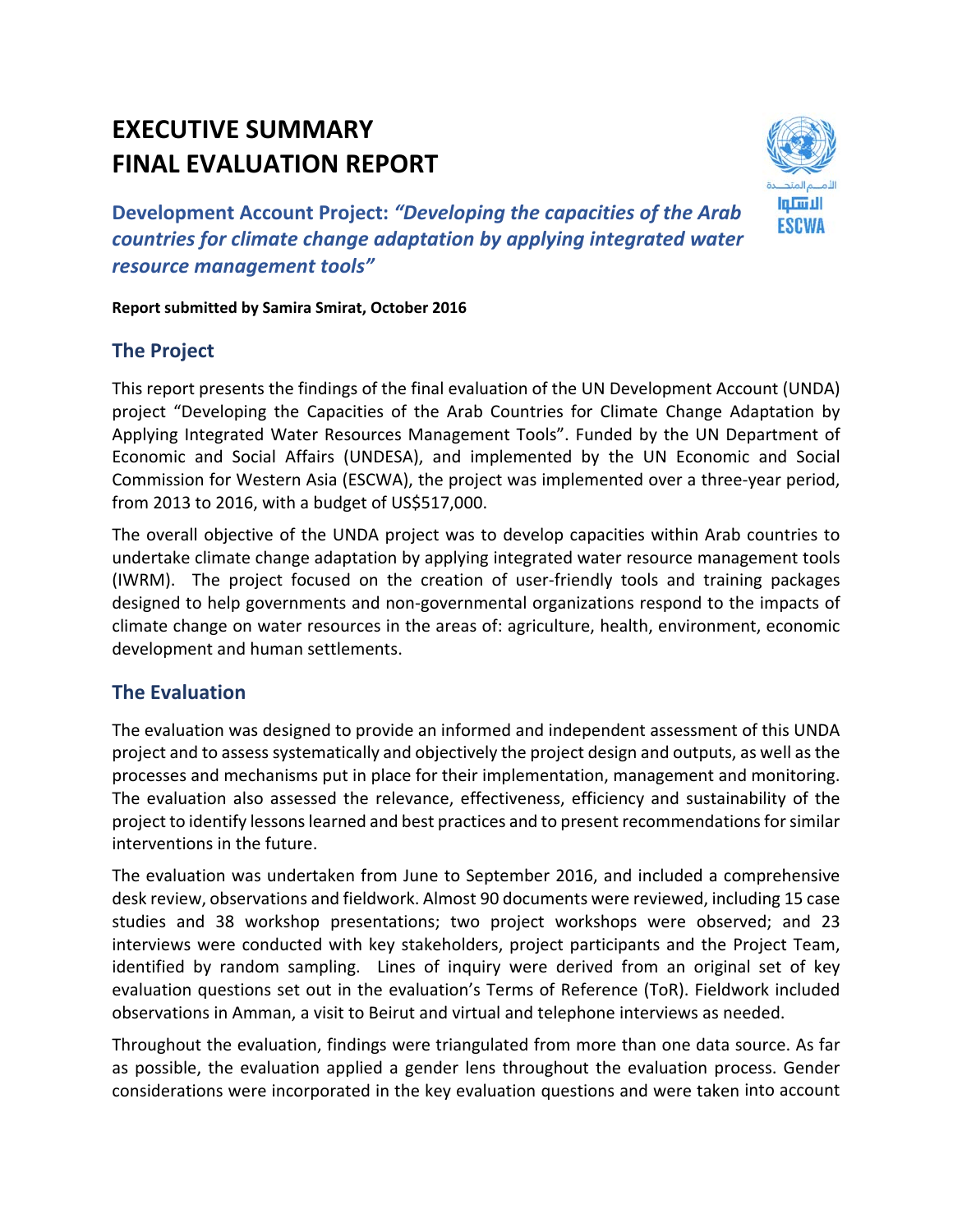# **EXECUTIVE SUMMARY FINAL EVALUATION REPORT**



**Development Account Project:** *"Developing the capacities of the Arab countries for climate change adaptation by applying integrated water resource management tools"*

**Report submitted by Samira Smirat, October 2016**

## **The Project**

This report presents the findings of the final evaluation of the UN Development Account (UNDA) project "Developing the Capacities of the Arab Countries for Climate Change Adaptation by Applying Integrated Water Resources Management Tools". Funded by the UN Department of Economic and Social Affairs (UNDESA), and implemented by the UN Economic and Social Commission for Western Asia (ESCWA), the project was implemented over a three‐year period, from 2013 to 2016, with a budget of US\$517,000.

The overall objective of the UNDA project was to develop capacities within Arab countries to undertake climate change adaptation by applying integrated water resource management tools (IWRM). The project focused on the creation of user‐friendly tools and training packages designed to help governments and non‐governmental organizations respond to the impacts of climate change on water resources in the areas of: agriculture, health, environment, economic development and human settlements.

### **The Evaluation**

The evaluation was designed to provide an informed and independent assessment of this UNDA project and to assess systematically and objectively the project design and outputs, as well asthe processes and mechanisms put in place for their implementation, management and monitoring. The evaluation also assessed the relevance, effectiveness, efficiency and sustainability of the project to identify lessons learned and best practices and to present recommendations for similar interventions in the future.

The evaluation was undertaken from June to September 2016, and included a comprehensive desk review, observations and fieldwork. Almost 90 documents were reviewed, including 15 case studies and 38 workshop presentations; two project workshops were observed; and 23 interviews were conducted with key stakeholders, project participants and the Project Team, identified by random sampling. Lines of inquiry were derived from an original set of key evaluation questions set out in the evaluation's Terms of Reference (ToR). Fieldwork included observations in Amman, a visit to Beirut and virtual and telephone interviews as needed.

Throughout the evaluation, findings were triangulated from more than one data source. As far as possible, the evaluation applied a gender lens throughout the evaluation process. Gender considerations were incorporated in the key evaluation questions and were taken into account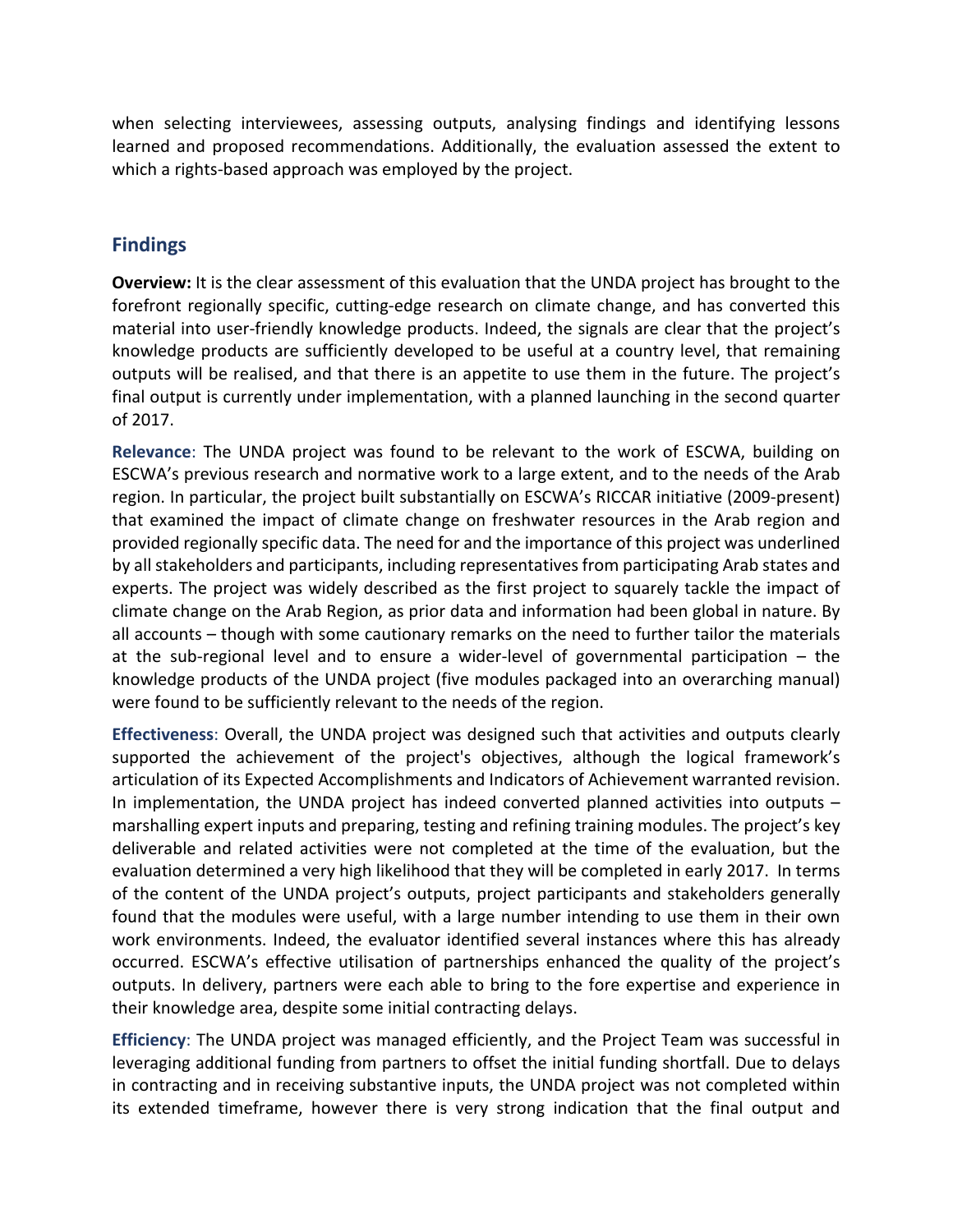when selecting interviewees, assessing outputs, analysing findings and identifying lessons learned and proposed recommendations. Additionally, the evaluation assessed the extent to which a rights-based approach was employed by the project.

#### **Findings**

**Overview:** It is the clear assessment of this evaluation that the UNDA project has brought to the forefront regionally specific, cutting-edge research on climate change, and has converted this material into user-friendly knowledge products. Indeed, the signals are clear that the project's knowledge products are sufficiently developed to be useful at a country level, that remaining outputs will be realised, and that there is an appetite to use them in the future. The project's final output is currently under implementation, with a planned launching in the second quarter of 2017.

**Relevance**: The UNDA project was found to be relevant to the work of ESCWA, building on ESCWA's previous research and normative work to a large extent, and to the needs of the Arab region. In particular, the project built substantially on ESCWA's RICCAR initiative (2009‐present) that examined the impact of climate change on freshwater resources in the Arab region and provided regionally specific data. The need for and the importance of this project was underlined by all stakeholders and participants, including representativesfrom participating Arab states and experts. The project was widely described as the first project to squarely tackle the impact of climate change on the Arab Region, as prior data and information had been global in nature. By all accounts – though with some cautionary remarks on the need to further tailor the materials at the sub‐regional level and to ensure a wider‐level of governmental participation – the knowledge products of the UNDA project (five modules packaged into an overarching manual) were found to be sufficiently relevant to the needs of the region.

**Effectiveness**: Overall, the UNDA project was designed such that activities and outputs clearly supported the achievement of the project's objectives, although the logical framework's articulation of its Expected Accomplishments and Indicators of Achievement warranted revision. In implementation, the UNDA project has indeed converted planned activities into outputs – marshalling expert inputs and preparing, testing and refining training modules. The project's key deliverable and related activities were not completed at the time of the evaluation, but the evaluation determined a very high likelihood that they will be completed in early 2017. In terms of the content of the UNDA project's outputs, project participants and stakeholders generally found that the modules were useful, with a large number intending to use them in their own work environments. Indeed, the evaluator identified several instances where this has already occurred. ESCWA's effective utilisation of partnerships enhanced the quality of the project's outputs. In delivery, partners were each able to bring to the fore expertise and experience in their knowledge area, despite some initial contracting delays.

**Efficiency**: The UNDA project was managed efficiently, and the Project Team was successful in leveraging additional funding from partners to offset the initial funding shortfall. Due to delays in contracting and in receiving substantive inputs, the UNDA project was not completed within its extended timeframe, however there is very strong indication that the final output and